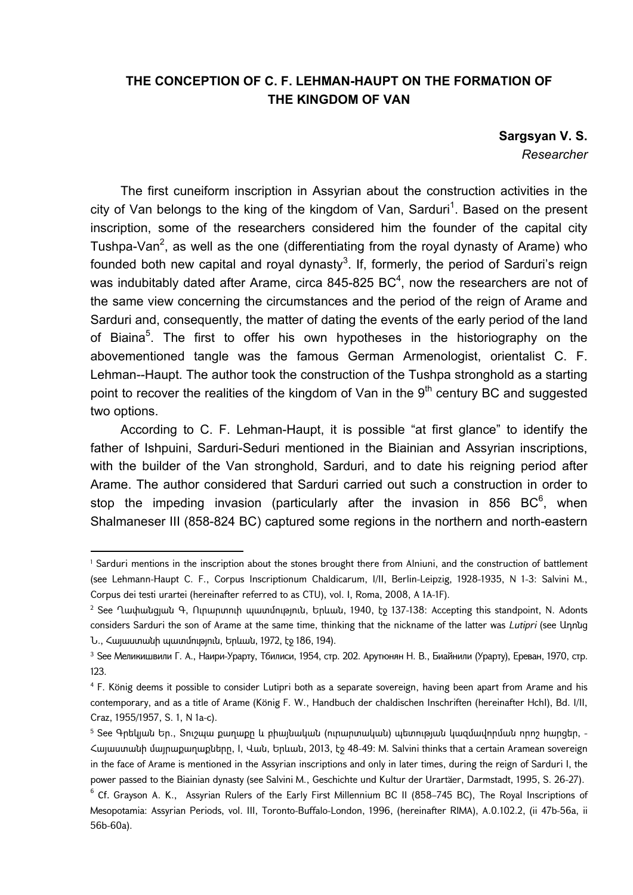## **THE CONCEPTION OF C. F. LEHMAN-HAUPT ON THE FORMATION OF THE KINGDOM OF VAN**

**Sargsyan V. S.**  *Researcher* 

The first cuneiform inscription in Assyrian about the construction activities in the city of Van belongs to the king of the kingdom of Van, Sarduri<sup>1</sup>. Based on the present inscription, some of the researchers considered him the founder of the capital city Tushpa-Van<sup>2</sup>, as well as the one (differentiating from the royal dynasty of Arame) who founded both new capital and royal dynasty<sup>3</sup>. If, formerly, the period of Sarduri's reign was indubitably dated after Arame, circa 845-825 BC<sup>4</sup>, now the researchers are not of the same view concerning the circumstances and the period of the reign of Arame and Sarduri and, consequently, the matter of dating the events of the early period of the land of Biaina<sup>5</sup>. The first to offer his own hypotheses in the historiography on the abovementioned tangle was the famous German Armenologist, orientalist C. F. Lehman--Haupt. The author took the construction of the Tushpa stronghold as a starting point to recover the realities of the kingdom of Van in the  $9<sup>th</sup>$  century BC and suggested two options.

According to C. F. Lehman-Haupt, it is possible "at first glance" to identify the father of Ishpuini, Sarduri-Seduri mentioned in the Biainian and Assyrian inscriptions, with the builder of the Van stronghold, Sarduri, and to date his reigning period after Arame. The author considered that Sarduri carried out such a construction in order to stop the impeding invasion (particularly after the invasion in 856 BC $<sup>6</sup>$ , when</sup> Shalmaneser III (858-824 BC) captured some regions in the northern and north-eastern

**.** 

<sup>1</sup> Sarduri mentions in the inscription about the stones brought there from Alniuni, and the construction of battlement (see Lehmann-Haupt C. F., Corpus Inscriptionum Chaldicarum, I/II, Berlin-Leipzig, 1928-1935, N 1-3: Salvini M., Corpus dei testi urartei (hereinafter referred to as CTU), vol. I, Roma, 2008, A 1A-1F).

<sup>2</sup> See Ղափանցյան Գ, Ուրարտուի պատմություն, Երևան, 1940, էջ 137-138: Accepting this standpoint, N. Adonts considers Sarduri the son of Arame at the same time, thinking that the nickname of the latter was *Lutipri* (see Ադոնց Ն., Հայաստանի պատմություն, Երևան, 1972, էջ 186, 194).

<sup>3</sup> See Меликишвили Г. А., Наири-Урарту, Тбилиси, 1954, стр. 202. Арутюнян Н. В., Биайнили (Урарту), Ереван, 1970, стр. 123.

<sup>4</sup> F. König deems it possible to consider Lutipri both as a separate sovereign, having been apart from Arame and his contemporary, and as a title of Arame (König F. W., Handbuch der chaldischen Inschriften (hereinafter HchI), Bd. I/II, Craz, 1955/1957, S. 1, N 1a-c).

<sup>5</sup> See Գրեկյան Եր., Տուշպա քաղաքը և բիայնական (ուրարտական) պետության կազմավորման որոշ հարցեր, - Հայաստանի մայրաքաղաքները, I, Վան, Երևան, 2013, էջ 48-49: M. Salvini thinks that a certain Aramean sovereign in the face of Arame is mentioned in the Assyrian inscriptions and only in later times, during the reign of Sarduri I, the power passed to the Biainian dynasty (see Salvini M., Geschichte und Kultur der Urartäer, Darmstadt, 1995, S. 26-27).

 $^6$  Cf. Grayson A. K., Assyrian Rulers of the Early First Millennium BC II (858–745 BC), The Royal Inscriptions of Mesopotamia: Assyrian Periods, vol. III, Toronto-Buffalo-London, 1996, (hereinafter RIMA), A.0.102.2, (ii 47b-56a, ii 56b-60a).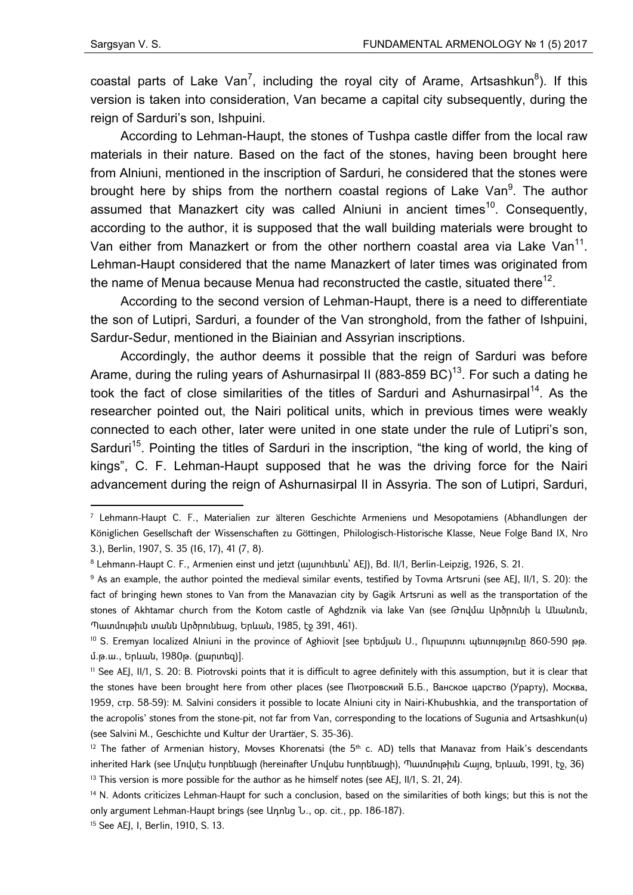**.** 

coastal parts of Lake Van<sup>7</sup>, including the royal city of Arame, Artsashkun<sup>8</sup>). If this version is taken into consideration, Van became a capital city subsequently, during the reign of Sarduri's son, Ishpuini.

According to Lehman-Haupt, the stones of Tushpa castle differ from the local raw materials in their nature. Based on the fact of the stones, having been brought here from Alniuni, mentioned in the inscription of Sarduri, he considered that the stones were brought here by ships from the northern coastal regions of Lake Van<sup>9</sup>. The author assumed that Manazkert city was called Alniuni in ancient times<sup>10</sup>. Consequently, according to the author, it is supposed that the wall building materials were brought to Van either from Manazkert or from the other northern coastal area via Lake Van<sup>11</sup>. Lehman-Haupt considered that the name Manazkert of later times was originated from the name of Menua because Menua had reconstructed the castle, situated there<sup>12</sup>.

According to the second version of Lehman-Haupt, there is a need to differentiate the son of Lutipri, Sarduri, a founder of the Van stronghold, from the father of Ishpuini, Sardur-Sedur, mentioned in the Biainian and Assyrian inscriptions.

Accordingly, the author deems it possible that the reign of Sarduri was before Arame, during the ruling years of Ashurnasirpal II (883-859 BC)<sup>13</sup>. For such a dating he took the fact of close similarities of the titles of Sarduri and Ashurnasirpal<sup>14</sup>. As the researcher pointed out, the Nairi political units, which in previous times were weakly connected to each other, later were united in one state under the rule of Lutipri's son, Sarduri<sup>15</sup>. Pointing the titles of Sarduri in the inscription, "the king of world, the king of kings", C. F. Lehman-Haupt supposed that he was the driving force for the Nairi advancement during the reign of Ashurnasirpal II in Assyria. The son of Lutipri, Sarduri,

10 S. Eremyan localized Alniuni in the province of Aghiovit [see Երեմյան Ս., Ուրարտու պետությունը 860-590 թթ. մ.թ.ա., Երևան, 1980թ. (քարտեզ)].

15 See AEJ, I, Berlin, 1910, S. 13.

<sup>7</sup> Lehmann-Haupt C. F., Materialien zur älteren Geschichte Armeniens und Mesopotamiens (Abhandlungen der Königlichen Gesellschaft der Wissenschaften zu Göttingen, Philologisch-Historische Klasse, Neue Folge Band IX, Nro 3.), Berlin, 1907, S. 35 (16, 17), 41 (7, 8).

<sup>8</sup> Lehmann-Haupt C. F., Armenien einst und jetzt (wunnhtunu' AEJ), Bd. II/1, Berlin-Leipzig, 1926, S. 21.

<sup>&</sup>lt;sup>9</sup> As an example, the author pointed the medieval similar events, testified by Tovma Artsruni (see AEJ, II/1, S. 20): the fact of bringing hewn stones to Van from the Manavazian city by Gagik Artsruni as well as the transportation of the stones of Akhtamar church from the Kotom castle of Aghdznik via lake Van (see Թովմա Արծրունի և Անանուն, Պատմութիւն տանն Արծրունեաց, Երևան, 1985, էջ 391, 461).

<sup>11</sup> See AEJ, II/1, S. 20: B. Piotrovski points that it is difficult to agree definitely with this assumption, but it is clear that the stones have been brought here from other places (see Пиотровский Б.Б., Ванское царство (Урарту), Москва, 1959, стр. 58-59): M. Salvini considers it possible to locate Alniuni city in Nairi-Khubushkia, and the transportation of the acropolis' stones from the stone-pit, not far from Van, corresponding to the locations of Sugunia and Artsashkun(u) (see Salvini M., Geschichte und Kultur der Urartäer, S. 35-36).

 $12$  The father of Armenian history, Movses Khorenatsi (the 5<sup>th</sup> c. AD) tells that Manavaz from Haik's descendants inherited Hark (see Մովսէս Խորենացի (hereinafter Մովսես Խորենացի), Պատմութիւն Հայոց, Երևան, 1991, էջ, 36)  $13$  This version is more possible for the author as he himself notes (see AEJ, II/1, S. 21, 24).

<sup>&</sup>lt;sup>14</sup> N. Adonts criticizes Lehman-Haupt for such a conclusion, based on the similarities of both kings; but this is not the only argument Lehman-Haupt brings (see Ադոնց Ն., op. cit., pp. 186-187).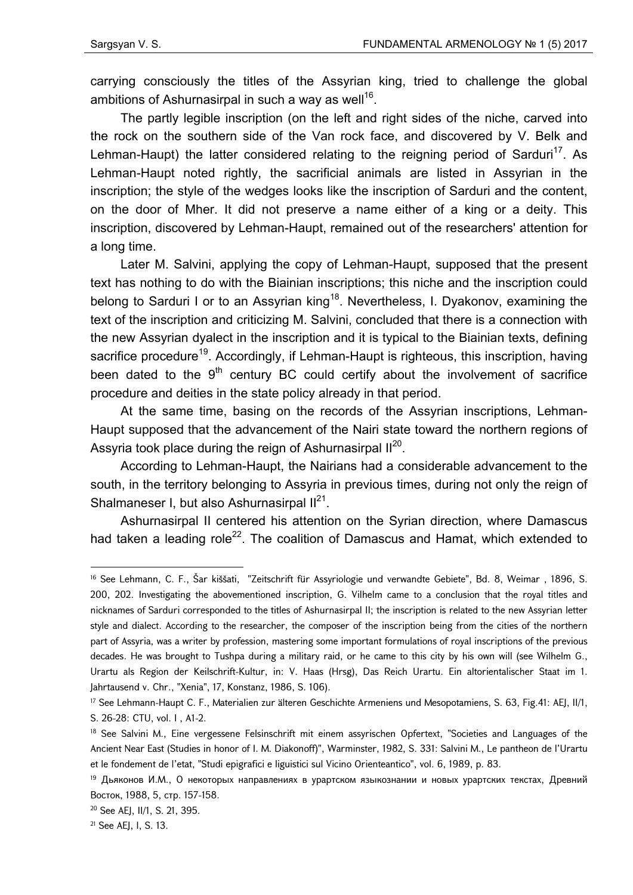carrying consciously the titles of the Assyrian king, tried to challenge the global ambitions of Ashurnasirpal in such a way as well<sup>16</sup>.

The partly legible inscription (on the left and right sides of the niche, carved into the rock on the southern side of the Van rock face, and discovered by V. Belk and Lehman-Haupt) the latter considered relating to the reigning period of Sarduri<sup>17</sup>. As Lehman-Haupt noted rightly, the sacrificial animals are listed in Assyrian in the inscription; the style of the wedges looks like the inscription of Sarduri and the content, on the door of Mher. It did not preserve a name either of a king or a deity. This inscription, discovered by Lehman-Haupt, remained out of the researchers' attention for a long time.

Later M. Salvini, applying the copy of Lehman-Haupt, supposed that the present text has nothing to do with the Biainian inscriptions; this niche and the inscription could belong to Sarduri I or to an Assyrian king<sup>18</sup>. Nevertheless, I. Dyakonov, examining the text of the inscription and criticizing M. Salvini, concluded that there is a connection with the new Assyrian dyalect in the inscription and it is typical to the Biainian texts, defining sacrifice procedure<sup>19</sup>. Accordingly, if Lehman-Haupt is righteous, this inscription, having been dated to the  $9<sup>th</sup>$  century BC could certify about the involvement of sacrifice procedure and deities in the state policy already in that period.

At the same time, basing on the records of the Assyrian inscriptions, Lehman-Haupt supposed that the advancement of the Nairi state toward the northern regions of Assyria took place during the reign of Ashurnasirpal II<sup>20</sup>.

According to Lehman-Haupt, the Nairians had a considerable advancement to the south, in the territory belonging to Assyria in previous times, during not only the reign of Shalmaneser I, but also Ashurnasirpal  $II^{21}$ .

Ashurnasirpal II centered his attention on the Syrian direction, where Damascus had taken a leading role<sup>22</sup>. The coalition of Damascus and Hamat, which extended to

**.** 

<sup>16</sup> See Lehmann, C. F., Šar kiššati, "Zeitschrift für Assyriologie und verwandte Gebiete", Bd. 8, Weimar , 1896, S. 200, 202. Investigating the abovementioned inscription, G. Vilhelm came to a conclusion that the royal titles and nicknames of Sarduri corresponded to the titles of Ashurnasirpal II; the inscription is related to the new Assyrian letter style and dialect. According to the researcher, the composer of the inscription being from the cities of the northern part of Assyria, was a writer by profession, mastering some important formulations of royal inscriptions of the previous decades. He was brought to Tushpa during a military raid, or he came to this city by his own will (see Wilhelm G., Urartu als Region der Keilschrift-Kultur, in: V. Haas (Hrsg), Das Reich Urartu. Ein altorientalischer Staat im 1. Jahrtausend v. Chr., "Xenia", 17, Konstanz, 1986, S. 106).

<sup>&</sup>lt;sup>17</sup> See Lehmann-Haupt C. F., Materialien zur älteren Geschichte Armeniens und Mesopotamiens, S. 63, Fig.41: AEJ, II/1, S. 26-28: CTU, vol. I , A1-2.

<sup>&</sup>lt;sup>18</sup> See Salvini M., Eine vergessene Felsinschrift mit einem assyrischen Opfertext, "Societies and Languages of the Ancient Near East (Studies in honor of I. M. Diakonoff)", Warminster, 1982, S. 331: Salvini M., Le pantheon de l'Urartu et le fondement de l'etat, "Studi epigrafici e liguistici sul Vicino Orienteantico", vol. 6, 1989, p. 83.

<sup>19</sup> Дьяконов И.М., О некоторых направлениях в урартском языкознании и новых урартских текстах, Древний Восток, 1988, 5, стр. 157-158.

<sup>20</sup> See AEJ, II/1, S. 21, 395.

<sup>21</sup> See AEJ, I, S. 13.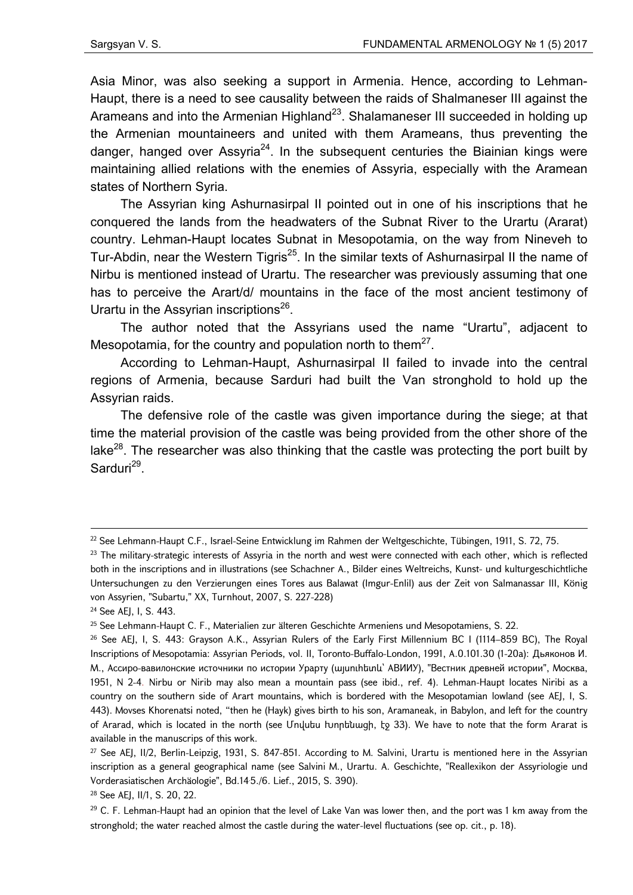Asia Minor, was also seeking a support in Armenia. Hence, according to Lehman-Haupt, there is a need to see causality between the raids of Shalmaneser III against the Arameans and into the Armenian Highland<sup>23</sup>. Shalamaneser III succeeded in holding up the Armenian mountaineers and united with them Arameans, thus preventing the danger, hanged over Assyria<sup>24</sup>. In the subsequent centuries the Biainian kings were maintaining allied relations with the enemies of Assyria, especially with the Aramean states of Northern Syria.

The Assyrian king Ashurnasirpal II pointed out in one of his inscriptions that he conquered the lands from the headwaters of the Subnat River to the Urartu (Ararat) country. Lehman-Haupt locates Subnat in Mesopotamia, on the way from Nineveh to Tur-Abdin, near the Western Tigris<sup>25</sup>. In the similar texts of Ashurnasirpal II the name of Nirbu is mentioned instead of Urartu. The researcher was previously assuming that one has to perceive the Arart/d/ mountains in the face of the most ancient testimony of Urartu in the Assyrian inscriptions<sup>26</sup>.

The author noted that the Assyrians used the name "Urartu", adjacent to Mesopotamia, for the country and population north to them $^{27}$ .

According to Lehman-Haupt, Ashurnasirpal II failed to invade into the central regions of Armenia, because Sarduri had built the Van stronghold to hold up the Assyrian raids.

The defensive role of the castle was given importance during the siege; at that time the material provision of the castle was being provided from the other shore of the lake<sup>28</sup>. The researcher was also thinking that the castle was protecting the port built by Sarduri<sup>29</sup>.

1

<sup>22</sup> See Lehmann-Haupt C.F., Israel-Seine Entwicklung im Rahmen der Weltgeschichte, Tübingen, 1911, S. 72, 75.

<sup>&</sup>lt;sup>23</sup> The military-strategic interests of Assyria in the north and west were connected with each other, which is reflected both in the inscriptions and in illustrations (see Schachner A., Bilder eines Weltreichs, Kunst- und kulturgeschichtliche Untersuchungen zu den Verzierungen eines Tores aus Balawat (Imgur-Enlil) aus der Zeit von Salmanassar III, König von Assyrien, "Subartu," XX, Turnhout, 2007, S. 227-228)

<sup>&</sup>lt;sup>24</sup> See AEJ, I, S. 443.

<sup>25</sup> See Lehmann-Haupt C. F., Materialien zur älteren Geschichte Armeniens und Mesopotamiens, S. 22.

<sup>&</sup>lt;sup>26</sup> See AEJ, I, S. 443: Grayson A.K., Assyrian Rulers of the Early First Millennium BC I (1114–859 BC), The Royal Inscriptions of Mesopotamia: Assyrian Periods, vol. II, Toronto-Buffalo-London, 1991, A.0.101.30 (1-20a): Дьяконов И. М., Ассиро-вавилонские источники по истории Урарту (այսուհետև` АВИИУ), "Вестник древней истории", Москва, 1951, N 2-4. Nirbu or Nirib may also mean a mountain pass (see ibid., ref. 4). Lehman-Haupt locates Niribi as a country on the southern side of Arart mountains, which is bordered with the Mesopotamian lowland (see AEJ, I, S. 443). Movses Khorenatsi noted, "then he (Hayk) gives birth to his son, Aramaneak, in Babylon, and left for the country of Ararad, which is located in the north (see Մովսես Խորենացի, էջ 33). We have to note that the form Ararat is available in the manuscrips of this work.

<sup>&</sup>lt;sup>27</sup> See AEJ, II/2, Berlin-Leipzig, 1931, S. 847-851. According to M. Salvini, Urartu is mentioned here in the Assyrian inscription as a general geographical name (see Salvini M., Urartu. A. Geschichte, "Reallexikon der Assyriologie und Vorderasiatischen Archäologie", Bd.14. 5./6. Lief., 2015, S. 390).

<sup>28</sup> See AEJ, II/1, S. 20, 22.

 $29$  C. F. Lehman-Haupt had an opinion that the level of Lake Van was lower then, and the port was 1 km away from the stronghold; the water reached almost the castle during the water-level fluctuations (see op. cit., p. 18).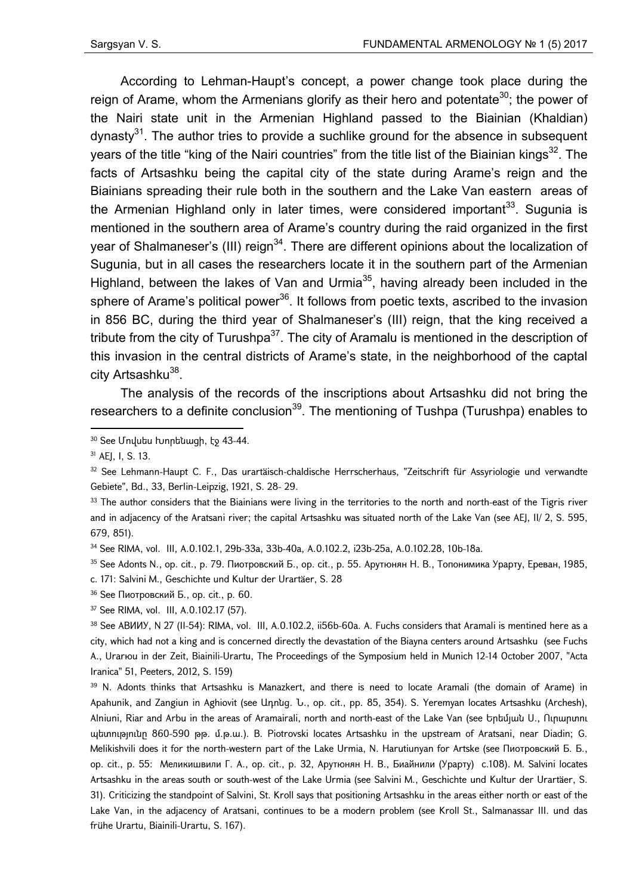According to Lehman-Haupt's concept, a power change took place during the reign of Arame, whom the Armenians glorify as their hero and potentate<sup>30</sup>; the power of the Nairi state unit in the Armenian Highland passed to the Biainian (Khaldian) dynasty<sup>31</sup>. The author tries to provide a suchlike ground for the absence in subsequent years of the title "king of the Nairi countries" from the title list of the Biainian kings<sup>32</sup>. The facts of Artsashku being the capital city of the state during Arame's reign and the Biainians spreading their rule both in the southern and the Lake Van eastern areas of the Armenian Highland only in later times, were considered important $33$ . Sugunia is mentioned in the southern area of Arame's country during the raid organized in the first year of Shalmaneser's (III) reign<sup>34</sup>. There are different opinions about the localization of Sugunia, but in all cases the researchers locate it in the southern part of the Armenian Highland, between the lakes of Van and Urmia<sup>35</sup>, having already been included in the sphere of Arame's political power<sup>36</sup>. It follows from poetic texts, ascribed to the invasion in 856 BC, during the third year of Shalmaneser's (III) reign, that the king received a tribute from the city of Turushpa $37$ . The city of Aramalu is mentioned in the description of this invasion in the central districts of Arame's state, in the neighborhood of the captal city Artsashku<sup>38</sup>.

The analysis of the records of the inscriptions about Artsashku did not bring the researchers to a definite conclusion<sup>39</sup>. The mentioning of Tushpa (Turushpa) enables to

**.** 

32 See Lehmann-Haupt C. F., Das urartäisch-chaldische Herrscherhaus, "Zeitschrift für Assyriologie und verwandte Gebiete", Bd., 33, Berlin-Leipzig, 1921, S. 28- 29.

 $35$  See Adonts N., op. cit., p. 79. Пиотровский Б., op. cit., p. 55. Арутюнян Н. В., Топонимика Урарту, Ереван, 1985, с. 171: Salvini M., Geschichte und Kultur der Urartäer, S. 28

36 See Пиотровский Б., op. cit., p. 60.

37 See RIMA, vol. III, A.0.102.17 (57).

38 See АВИИУ, N 27 (II-54): RIMA, vol. III, A.0.102.2, ii56b-60a. A. Fuchs considers that Aramali is mentined here as a city, which had not a king and is concerned directly the devastation of the Biayna centers around Artsashku (see Fuchs A., Urarюu in der Zeit, Biainili-Urartu, The Proceedings of the Symposium held in Munich 12-14 October 2007, "Acta Iranica" 51, Peeters, 2012, S. 159)

<sup>39</sup> N. Adonts thinks that Artsashku is Manazkert, and there is need to locate Aramali (the domain of Arame) in Apahunik, and Zangiun in Aghiovit (see Ադոնց. Ն., op. cit., pp. 85, 354). S. Yeremyan locates Artsashku (Archesh), Alniuni, Riar and Arbu in the areas of Aramairali, north and north-east of the Lake Van (see Երեմյան Ս., Ուրարտու պետությունը 860-590 թթ. մ.թ.ա.). B. Piotrovski locates Artsashku in the upstream of Aratsani, near Diadin; G. Melikishvili does it for the north-western part of the Lake Urmia, N. Harutiunyan for Artske (see Пиотровский Б. Б., op. cit., p. 55: Меликишвили Г. А., op. cit., p. 32, Арутюнян Н. В., Биайнили (Урарту) с.108). M. Salvini locates Artsashku in the areas south or south-west of the Lake Urmia (see Salvini M., Geschichte und Kultur der Urartäer, S. 31). Criticizing the standpoint of Salvini, St. Kroll says that positioning Artsashku in the areas either north or east of the Lake Van, in the adjacency of Aratsani, continues to be a modern problem (see Kroll St., Salmanassar III. und das frühe Urartu, Biainili-Urartu, S. 167).

<sup>30</sup> See Undutu lunntiuugh, to 43-44.

<sup>31</sup> AEJ, I, S. 13.

<sup>&</sup>lt;sup>33</sup> The author considers that the Biainians were living in the territories to the north and north-east of the Tigris river and in adjacency of the Aratsani river; the capital Artsashku was situated north of the Lake Van (see AEJ, II/ 2, S. 595, 679, 851).

<sup>34</sup> See RIMA, vol. III, A.0.102.1, 29b-33a, 33b-40a, A.0.102.2, i23b-25a, A.0.102.28, 10b-18a.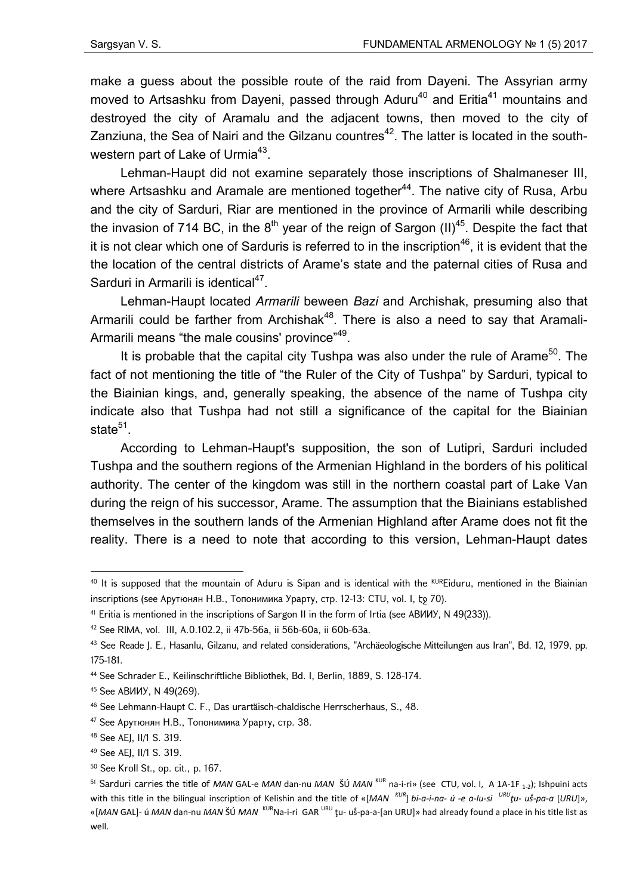make a guess about the possible route of the raid from Dayeni. The Assyrian army moved to Artsashku from Dayeni, passed through Aduru<sup>40</sup> and Eritia<sup>41</sup> mountains and destroyed the city of Aramalu and the adjacent towns, then moved to the city of Zanziuna, the Sea of Nairi and the Gilzanu countres<sup>42</sup>. The latter is located in the southwestern part of Lake of Urmia $43$ .

Lehman-Haupt did not examine separately those inscriptions of Shalmaneser III, where Artsashku and Aramale are mentioned together<sup>44</sup>. The native city of Rusa, Arbu and the city of Sarduri, Riar are mentioned in the province of Armarili while describing the invasion of 714 BC, in the  $8<sup>th</sup>$  year of the reign of Sargon (II)<sup>45</sup>. Despite the fact that it is not clear which one of Sarduris is referred to in the inscription<sup>46</sup>, it is evident that the the location of the central districts of Arame's state and the paternal cities of Rusa and Sarduri in Armarili is identical $47$ .

Lehman-Haupt located *Armarili* beween *Bazi* and Archishak, presuming also that Armarili could be farther from Archishak<sup>48</sup>. There is also a need to say that Aramali-Armarili means "the male cousins' province"<sup>49</sup>.

It is probable that the capital city Tushpa was also under the rule of Arame<sup>50</sup>. The fact of not mentioning the title of "the Ruler of the City of Tushpa" by Sarduri, typical to the Biainian kings, and, generally speaking, the absence of the name of Tushpa city indicate also that Tushpa had not still a significance of the capital for the Biainian state<sup>51</sup>.

According to Lehman-Haupt's supposition, the son of Lutipri, Sarduri included Tushpa and the southern regions of the Armenian Highland in the borders of his political authority. The center of the kingdom was still in the northern coastal part of Lake Van during the reign of his successor, Arame. The assumption that the Biainians established themselves in the southern lands of the Armenian Highland after Arame does not fit the reality. There is a need to note that according to this version, Lehman-Haupt dates

1

<sup>&</sup>lt;sup>40</sup> It is supposed that the mountain of Aduru is Sipan and is identical with the KUREiduru, mentioned in the Biainian inscriptions (see Арутюнян Н.В., Топонимика Урарту, стр. 12-13: CTU, vol. I, էջ 70).

<sup>41</sup> Eritia is mentioned in the inscriptions of Sargon II in the form of Irtia (see ABUUY, N 49(233)).

<sup>42</sup> See RIMA, vol. III, A.0.102.2, ii 47b-56a, ii 56b-60a, ii 60b-63a.

<sup>43</sup> See Reade J. E., Hasanlu, Gilzanu, and related considerations, "Archäeologische Mitteilungen aus Iran", Bd. 12, 1979, pp. 175-181.

<sup>44</sup> See Schrader E., Keilinschriftliche Bibliothek, Bd. I, Berlin, 1889, S. 128-174.

<sup>45</sup> See АВИИУ, N 49(269).

<sup>46</sup> See Lehmann-Haupt C. F., Das urartäisch-chaldische Herrscherhaus, S., 48.

<sup>47</sup> See Арутюнян Н.В., Топонимика Урарту, стр. 38.

<sup>48</sup> See AEJ, II/1 S. 319.

<sup>49</sup> See AEJ, II/1 S. 319.

<sup>50</sup> See Kroll St., op. cit., p. 167.

<sup>&</sup>lt;sup>51</sup> Sarduri carries the title of *MAN* GAL-e *MAN* dan-nu *MAN* ŠÚ *MAN*<sup>KUR</sup> na-i-ri» (see CTU, vol. I, A 1A-1F <sub>1-2</sub>); Ishpuini acts with this title in the bilingual inscription of Kelishin and the title of «[*MAN*  $k$ <sup>UR</sup>] *bi-a-i-na- ú -e a-lu-si*  $\frac{URU}{U}$  *u*<sup>2</sup>-pa-a [URU]», «[MAN GAL]- ú MAN dan-nu MAN ŠÚ MAN <sup>KUR</sup>Na-i-ri GAR <sup>URU</sup> ţu- uš-pa-a-[an URU]» had already found a place in his title list as well.